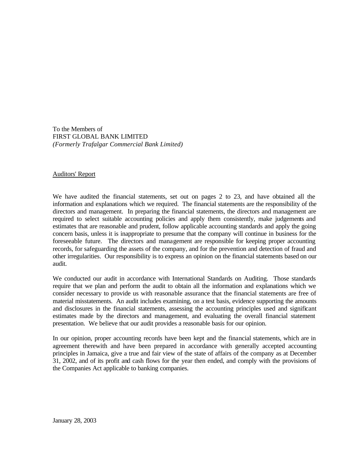To the Members of FIRST GLOBAL BANK LIMITED *(Formerly Trafalgar Commercial Bank Limited)*

## Auditors' Report

We have audited the financial statements, set out on pages 2 to 23, and have obtained all the information and explanations which we required. The financial statements are the responsibility of the directors and management. In preparing the financial statements, the directors and management are required to select suitable accounting policies and apply them consistently, make judgements and estimates that are reasonable and prudent, follow applicable accounting standards and apply the going concern basis, unless it is inappropriate to presume that the company will continue in business for the foreseeable future. The directors and management are responsible for keeping proper accounting records, for safeguarding the assets of the company, and for the prevention and detection of fraud and other irregularities. Our responsibility is to express an opinion on the financial statements based on our audit.

We conducted our audit in accordance with International Standards on Auditing. Those standards require that we plan and perform the audit to obtain all the information and explanations which we consider necessary to provide us with reasonable assurance that the financial statements are free of material misstatements. An audit includes examining, on a test basis, evidence supporting the amounts and disclosures in the financial statements, assessing the accounting principles used and significant estimates made by the directors and management, and evaluating the overall financial statement presentation. We believe that our audit provides a reasonable basis for our opinion.

In our opinion, proper accounting records have been kept and the financial statements, which are in agreement therewith and have been prepared in accordance with generally accepted accounting principles in Jamaica, give a true and fair view of the state of affairs of the company as at December 31, 2002, and of its profit and cash flows for the year then ended, and comply with the provisions of the Companies Act applicable to banking companies.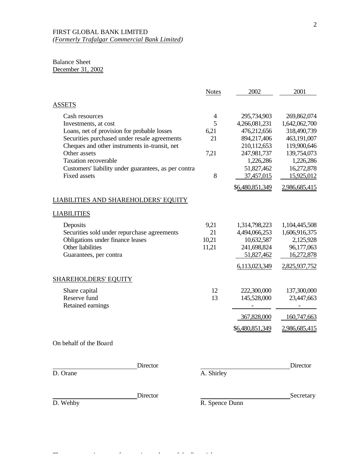# Balance Sheet

December 31, 2002

|                                                                                                                                                                                                                                                                                                                      | <b>Notes</b>                                   | 2002                                                                                                                              | 2001                                                                                                                              |
|----------------------------------------------------------------------------------------------------------------------------------------------------------------------------------------------------------------------------------------------------------------------------------------------------------------------|------------------------------------------------|-----------------------------------------------------------------------------------------------------------------------------------|-----------------------------------------------------------------------------------------------------------------------------------|
| <b>ASSETS</b>                                                                                                                                                                                                                                                                                                        |                                                |                                                                                                                                   |                                                                                                                                   |
| Cash resources<br>Investments, at cost<br>Loans, net of provision for probable losses<br>Securities purchased under resale agreements<br>Cheques and other instruments in-transit, net<br>Other assets<br><b>Taxation recoverable</b><br>Customers' liability under guarantees, as per contra<br><b>Fixed assets</b> | $\overline{4}$<br>5<br>6,21<br>21<br>7,21<br>8 | 295,734,903<br>4,266,081,231<br>476,212,656<br>894,217,406<br>210,112,653<br>247,981,737<br>1,226,286<br>51,827,462<br>37,457,015 | 269,862,074<br>1,642,062,700<br>318,490,739<br>463,191,007<br>119,900,646<br>139,754,073<br>1,226,286<br>16,272,878<br>15,925,012 |
|                                                                                                                                                                                                                                                                                                                      |                                                | \$6,480,851,349                                                                                                                   | 2,986,685,415                                                                                                                     |
| LIABILITIES AND SHAREHOLDERS' EQUITY                                                                                                                                                                                                                                                                                 |                                                |                                                                                                                                   |                                                                                                                                   |
| <b>LIABILITIES</b>                                                                                                                                                                                                                                                                                                   |                                                |                                                                                                                                   |                                                                                                                                   |
| Deposits<br>Securities sold under repurchase agreements<br>Obligations under finance leases<br>Other liabilities<br>Guarantees, per contra                                                                                                                                                                           | 9,21<br>21<br>10,21<br>11,21                   | 1,314,798,223<br>4,494,066,253<br>10,632,587<br>241,698,824<br>51,827,462                                                         | 1,104,445,508<br>1,606,916,375<br>2,125,928<br>96,177,063<br>16,272,878                                                           |
|                                                                                                                                                                                                                                                                                                                      |                                                | 6,113,023,349                                                                                                                     | 2,825,937,752                                                                                                                     |
| <b>SHAREHOLDERS' EQUITY</b>                                                                                                                                                                                                                                                                                          |                                                |                                                                                                                                   |                                                                                                                                   |
| Share capital<br>Reserve fund<br>Retained earnings                                                                                                                                                                                                                                                                   | 12<br>13                                       | 222,300,000<br>145,528,000<br>$\overline{\phantom{a}}$                                                                            | 137,300,000<br>23,447,663<br>$\overline{\phantom{a}}$                                                                             |
|                                                                                                                                                                                                                                                                                                                      |                                                | 367,828,000                                                                                                                       | 160,747,663                                                                                                                       |
|                                                                                                                                                                                                                                                                                                                      |                                                | \$6,480,851,349                                                                                                                   | 2,986,685,415                                                                                                                     |
| On behalf of the Board                                                                                                                                                                                                                                                                                               |                                                |                                                                                                                                   |                                                                                                                                   |
| Director                                                                                                                                                                                                                                                                                                             |                                                |                                                                                                                                   | Director                                                                                                                          |
| D. Orane                                                                                                                                                                                                                                                                                                             | A. Shirley                                     |                                                                                                                                   |                                                                                                                                   |

The accompanying notes form an integral part of the financial statements.

D. Wehby R. Spence Dunn

Director Secretary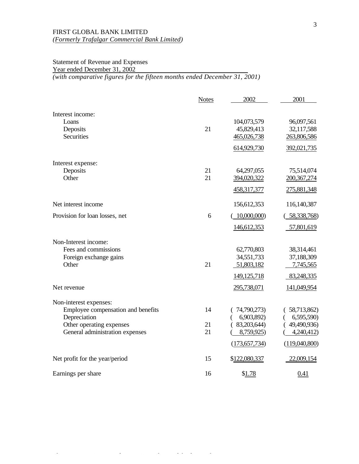# Statement of Revenue and Expenses Year ended December 31, 2002 *(with comparative figures for the fifteen months ended December 31, 2001)*

|                                    | <b>Notes</b> | 2002            | 2001          |
|------------------------------------|--------------|-----------------|---------------|
| Interest income:                   |              |                 |               |
| Loans                              |              | 104,073,579     | 96,097,561    |
| Deposits                           | 21           | 45,829,413      | 32,117,588    |
| <b>Securities</b>                  |              | 465,026,738     | 263,806,586   |
|                                    |              | 614,929,730     | 392,021,735   |
| Interest expense:                  |              |                 |               |
| Deposits                           | 21           | 64,297,055      | 75,514,074    |
| Other                              | 21           | 394,020,322     | 200, 367, 274 |
|                                    |              | 458,317,377     | 275,881,348   |
| Net interest income                |              | 156,612,353     | 116,140,387   |
| Provision for loan losses, net     | 6            | 10,000,000)     | 58,338,768)   |
|                                    |              | 146,612,353     | 57,801,619    |
| Non-Interest income:               |              |                 |               |
| Fees and commissions               |              | 62,770,803      | 38,314,461    |
| Foreign exchange gains             |              | 34,551,733      | 37,188,309    |
| Other                              | 21           | 51,803,182      | 7,745,565     |
|                                    |              | 149, 125, 718   | 83,248,335    |
| Net revenue                        |              | 295,738,071     | 141,049,954   |
| Non-interest expenses:             |              |                 |               |
| Employee compensation and benefits | 14           | 74,790,273)     | (58,713,862)  |
| Depreciation                       |              | 6,903,892)      | 6,595,590)    |
| Other operating expenses           | 21           | (83,203,644)    | 49,490,936)   |
| General administration expenses    | 21           | 8,759,925)      | 4,240,412)    |
|                                    |              | (173, 657, 734) | (119,040,800) |
| Net profit for the year/period     | 15           | \$122,080,337   | 22,009,154    |
| Earnings per share                 | 16           | \$1.78          | <u>0.41</u>   |

The accompanying notes for an integral part of the financial statements. The final statements of the financial statements.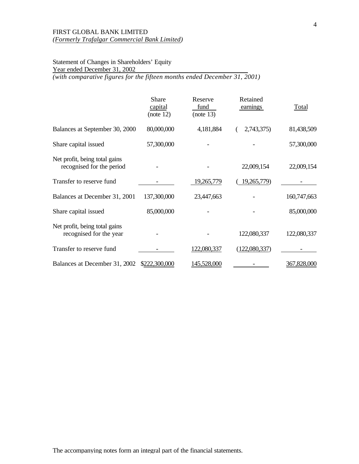# Statement of Changes in Shareholders' Equity Year ended December 31, 2002

*(with comparative figures for the fifteen months ended December 31, 2001)*

|                                                            | Share<br>capital<br>(note 12) | Reserve<br>fund<br>(note 13) | Retained<br>earnings | Total       |
|------------------------------------------------------------|-------------------------------|------------------------------|----------------------|-------------|
| Balances at September 30, 2000                             | 80,000,000                    | 4,181,884                    | 2,743,375)           | 81,438,509  |
| Share capital issued                                       | 57,300,000                    |                              |                      | 57,300,000  |
| Net profit, being total gains<br>recognised for the period |                               |                              | 22,009,154           | 22,009,154  |
| Transfer to reserve fund                                   |                               | 19,265,779                   | 19,265,779)          |             |
| Balances at December 31, 2001                              | 137,300,000                   | 23,447,663                   |                      | 160,747,663 |
| Share capital issued                                       | 85,000,000                    |                              |                      | 85,000,000  |
| Net profit, being total gains<br>recognised for the year   |                               |                              | 122,080,337          | 122,080,337 |
| Transfer to reserve fund                                   |                               | 122,080,337                  | (122,080,337)        |             |
| Balances at December 31, 2002                              | \$222,300,000                 | <u>145,528,000</u>           |                      | 367,828,000 |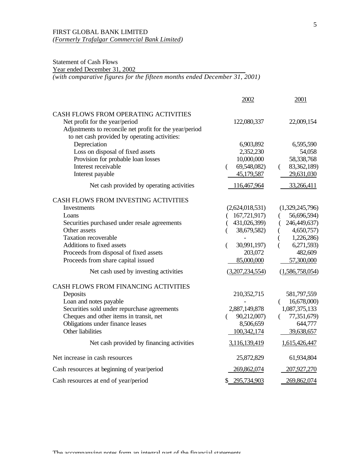# Statement of Cash Flows

Year ended December 31, 2002

*(with comparative figures for the fifteen months ended December 31, 2001)*

|                                                                                                                                                                                                                                                                                                                   | 2002                                                                                                                            | 2001                                                                                                                                      |
|-------------------------------------------------------------------------------------------------------------------------------------------------------------------------------------------------------------------------------------------------------------------------------------------------------------------|---------------------------------------------------------------------------------------------------------------------------------|-------------------------------------------------------------------------------------------------------------------------------------------|
| CASH FLOWS FROM OPERATING ACTIVITIES<br>Net profit for the year/period<br>Adjustments to reconcile net profit for the year/period<br>to net cash provided by operating activities:                                                                                                                                | 122,080,337                                                                                                                     | 22,009,154                                                                                                                                |
| Depreciation<br>Loss on disposal of fixed assets<br>Provision for probable loan losses<br>Interest receivable<br>Interest payable<br>Net cash provided by operating activities                                                                                                                                    | 6,903,892<br>2,352,230<br>10,000,000<br>69,548,082)<br>$\left($<br>45,179,587<br>116,467,964                                    | 6,595,590<br>54,058<br>58,338,768<br>83,362,189)<br>$\left($<br>29,631,030<br>33,266,411                                                  |
| CASH FLOWS FROM INVESTING ACTIVITIES<br>Investments<br>Loans<br>Securities purchased under resale agreements<br>Other assets<br><b>Taxation recoverable</b><br>Additions to fixed assets<br>Proceeds from disposal of fixed assets<br>Proceeds from share capital issued<br>Net cash used by investing activities | (2,624,018,531)<br>(167,721,917)<br>431,026,399)<br>38,679,582)<br>30,991,197)<br>€<br>203,072<br>85,000,000<br>(3,207,234,554) | (1,329,245,796)<br>56,696,594)<br>246,449,637)<br>4,650,757)<br>1,226,286)<br>6,271,593)<br>(<br>482,609<br>57,300,000<br>(1,586,758,054) |
| CASH FLOWS FROM FINANCING ACTIVITIES<br>Deposits<br>Loan and notes payable<br>Securities sold under repurchase agreements<br>Cheques and other items in transit, net<br>Obligations under finance leases<br>Other liabilities<br>Net cash provided by financing activities                                        | 210,352,715<br>2,887,149,878<br>90,212,007)<br>8,506,659<br>100,342,174<br>3,116,139,419                                        | 581,797,559<br>16,678,000)<br>1,087,375,133<br>77,351,679)<br>644,777<br>39,638,657<br>1,615,426,447                                      |
| Net increase in cash resources                                                                                                                                                                                                                                                                                    | 25,872,829                                                                                                                      | 61,934,804                                                                                                                                |
| Cash resources at beginning of year/period                                                                                                                                                                                                                                                                        | 269,862,074                                                                                                                     | 207,927,270                                                                                                                               |
| Cash resources at end of year/period                                                                                                                                                                                                                                                                              | \$ 295,734,903                                                                                                                  | 269,862,074                                                                                                                               |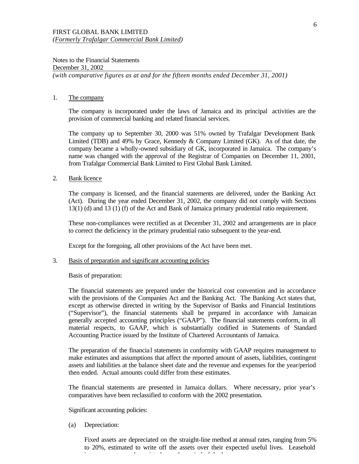Notes to the Financial Statements December 31, 2002 *(with comparative figures as at and for the fifteen months ended December 31, 2001)*

### 1. The company

The company is incorporated under the laws of Jamaica and its principal activities are the provision of commercial banking and related financial services.

The company up to September 30, 2000 was 51% owned by Trafalgar Development Bank Limited (TDB) and 49% by Grace, Kennedy & Company Limited (GK). As of that date, the company became a wholly-owned subsidiary of GK, incorporated in Jamaica. The company's name was changed with the approval of the Registrar of Companies on December 11, 2001, from Trafalgar Commercial Bank Limited to First Global Bank Limited.

#### 2. Bank licence

The company is licensed, and the financial statements are delivered, under the Banking Act (Act). During the year ended December 31, 2002, the company did not comply with Sections 13(1) (d) and 13 (1) (f) of the Act and Bank of Jamaica primary prudential ratio requirement.

These non-compliances were rectified as at December 31, 2002 and arrangements are in place to correct the deficiency in the primary prudential ratio subsequent to the year-end.

Except for the foregoing, all other provisions of the Act have been met.

#### 3. Basis of preparation and significant accounting policies

Basis of preparation:

The financial statements are prepared under the historical cost convention and in accordance with the provisions of the Companies Act and the Banking Act. The Banking Act states that, except as otherwise directed in writing by the Supervisor of Banks and Financial Institutions ("Supervisor"), the financial statements shall be prepared in accordance with Jamaican generally accepted accounting principles ("GAAP"). The financial statements conform, in all material respects, to GAAP, which is substantially codified in Statements of Standard Accounting Practice issued by the Institute of Chartered Accountants of Jamaica.

The preparation of the financia l statements in conformity with GAAP requires management to make estimates and assumptions that affect the reported amount of assets, liabilities, contingent assets and liabilities at the balance sheet date and the revenue and expenses for the year/period then ended. Actual amounts could differ from these estimates.

The financial statements are presented in Jamaica dollars. Where necessary, prior year's comparatives have been reclassified to conform with the 2002 presentation.

Significant accounting policies:

(a) Depreciation:

Fixed assets are depreciated on the straight-line method at annual rates, ranging from 5% to 20%, estimated to write off the assets over their expected useful lives. Leasehold improvements are depreciated over the period of the lease.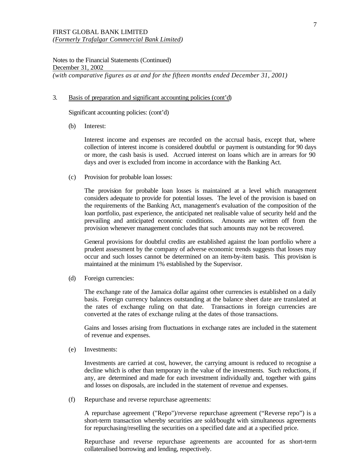#### 3. Basis of preparation and significant accounting policies (cont'd)

Significant accounting policies: (cont'd)

(b) Interest:

Interest income and expenses are recorded on the accrual basis, except that, where collection of interest income is considered doubtful or payment is outstanding for 90 days or more, the cash basis is used. Accrued interest on loans which are in arrears for 90 days and over is excluded from income in accordance with the Banking Act.

(c) Provision for probable loan losses:

The provision for probable loan losses is maintained at a level which management considers adequate to provide for potential losses. The level of the provision is based on the requirements of the Banking Act, management's evaluation of the composition of the loan portfolio, past experience, the anticipated net realisable value of security held and the prevailing and anticipated economic conditions. Amounts are written off from the provision whenever management concludes that such amounts may not be recovered.

General provisions for doubtful credits are established against the loan portfolio where a prudent assessment by the company of adverse economic trends suggests that losses may occur and such losses cannot be determined on an item-by-item basis. This provision is maintained at the minimum 1% established by the Supervisor.

(d) Foreign currencies:

The exchange rate of the Jamaica dollar against other currencies is established on a daily basis. Foreign currency balances outstanding at the balance sheet date are translated at the rates of exchange ruling on that date. Transactions in foreign currencies are converted at the rates of exchange ruling at the dates of those transactions.

Gains and losses arising from fluctuations in exchange rates are included in the statement of revenue and expenses.

(e) Investments:

Investments are carried at cost, however, the carrying amount is reduced to recognise a decline which is other than temporary in the value of the investments. Such reductions, if any, are determined and made for each investment individually and, together with gains and losses on disposals, are included in the statement of revenue and expenses.

(f) Repurchase and reverse repurchase agreements:

A repurchase agreement ("Repo")/reverse repurchase agreement ("Reverse repo") is a short-term transaction whereby securities are sold/bought with simultaneous agreements for repurchasing/reselling the securities on a specified date and at a specified price.

Repurchase and reverse repurchase agreements are accounted for as short-term collateralised borrowing and lending, respectively.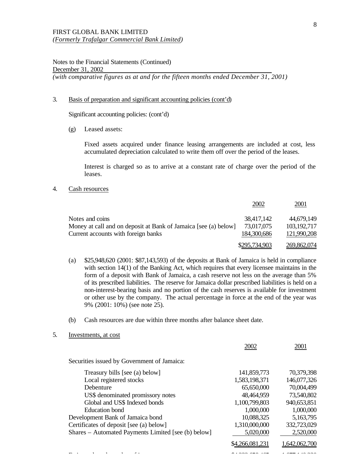#### 3. Basis of preparation and significant accounting policies (cont'd)

Significant accounting policies: (cont'd)

(g) Leased assets:

Fixed assets acquired under finance leasing arrangements are included at cost, less accumulated depreciation calculated to write them off over the period of the leases.

Interest is charged so as to arrive at a constant rate of charge over the period of the leases.

4. Cash resources

|                                                                 | 2002          | 2001          |
|-----------------------------------------------------------------|---------------|---------------|
| Notes and coins                                                 | 38,417,142    | 44,679,149    |
| Money at call and on deposit at Bank of Jamaica [see (a) below] | 73,017,075    | 103, 192, 717 |
| Current accounts with foreign banks                             | 184,300,686   | 121,990,208   |
|                                                                 | \$295,734,903 | 269,862,074   |

- (a) \$25,948,620 (2001: \$87,143,593) of the deposits at Bank of Jamaica is held in compliance with section 14(1) of the Banking Act, which requires that every licensee maintains in the form of a deposit with Bank of Jamaica, a cash reserve not less on the average than 5% of its prescribed liabilities. The reserve for Jamaica dollar prescribed liabilities is held on a non-interest-bearing basis and no portion of the cash reserves is available for investment or other use by the company. The actual percentage in force at the end of the year was 9% (2001: 10%) (see note 25).
- (b) Cash resources are due within three months after balance sheet date.
- 5. Investments, at cost

|                                                     | 2002            | 2001          |
|-----------------------------------------------------|-----------------|---------------|
| Securities issued by Government of Jamaica:         |                 |               |
| Treasury bills [see (a) below]                      | 141,859,773     | 70,379,398    |
| Local registered stocks                             | 1,583,198,371   | 146,077,326   |
| Debenture                                           | 65,650,000      | 70,004,499    |
| US\$ denominated promissory notes                   | 48,464,959      | 73,540,802    |
| Global and US\$ Indexed bonds                       | 1,100,799,803   | 940,653,851   |
| Education bond                                      | 1,000,000       | 1,000,000     |
| Development Bank of Jamaica bond                    | 10,088,325      | 5,163,795     |
| Certificates of deposit [see (a) below]             | 1,310,000,000   | 332,723,029   |
| Shares - Automated Payments Limited [see (b) below] | 5,020,000       | 2,520,000     |
|                                                     | \$4,266,081,231 | 1,642,062,700 |
|                                                     |                 |               |
|                                                     |                 |               |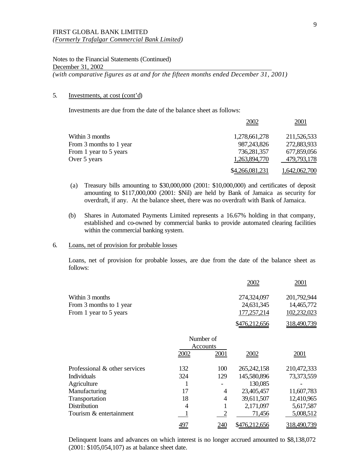## 5. Investments, at cost (cont'd)

Investments are due from the date of the balance sheet as follows:

|                         | 2002            | 2001          |
|-------------------------|-----------------|---------------|
| Within 3 months         | 1,278,661,278   | 211,526,533   |
| From 3 months to 1 year | 987, 243, 826   | 272,883,933   |
| From 1 year to 5 years  | 736,281,357     | 677,859,056   |
| Over 5 years            | 1,263,894,770   | 479,793,178   |
|                         | \$4,266,081,231 | 1,642,062,700 |

- (a) Treasury bills amounting to \$30,000,000 (2001: \$10,000,000) and certificates of deposit amounting to \$117,000,000 (2001: \$Nil) are held by Bank of Jamaica as security for overdraft, if any. At the balance sheet, there was no overdraft with Bank of Jamaica.
- (b) Shares in Automated Payments Limited represents a 16.67% holding in that company, established and co-owned by commercial banks to provide automated clearing facilities within the commercial banking system.

## 6. Loans, net of provision for probable losses

Loans, net of provision for probable losses, are due from the date of the balance sheet as follows:

|                               |                |           | 2002          | 2001        |
|-------------------------------|----------------|-----------|---------------|-------------|
| Within 3 months               |                |           | 274,324,097   | 201,792,944 |
| From 3 months to 1 year       |                |           | 24,631,345    | 14,465,772  |
| From 1 year to 5 years        |                |           | 177,257,214   | 102,232,023 |
|                               |                |           | \$476,212,656 | 318,490,739 |
|                               |                | Number of |               |             |
|                               |                | Accounts  |               |             |
|                               | 2002           | 2001      | 2002          | 2001        |
| Professional & other services | 132            | 100       | 265, 242, 158 | 210,472,333 |
| <b>Individuals</b>            | 324            | 129       | 145,580,896   | 73,373,559  |
| Agriculture                   |                |           | 130,085       |             |
| Manufacturing                 | 17             | 4         | 23,405,457    | 11,607,783  |
| Transportation                | 18             | 4         | 39,611,507    | 12,410,965  |
| <b>Distribution</b>           | $\overline{4}$ |           | 2,171,097     | 5,617,587   |
| Tourism & entertainment       |                |           | 71,456        | 5,008,512   |
|                               | 497            | 240       | \$476,212,656 | 318,490,739 |

Delinquent loans and advances on which interest is no longer accrued amounted to \$8,138,072 (2001: \$105,054,107) as at balance sheet date.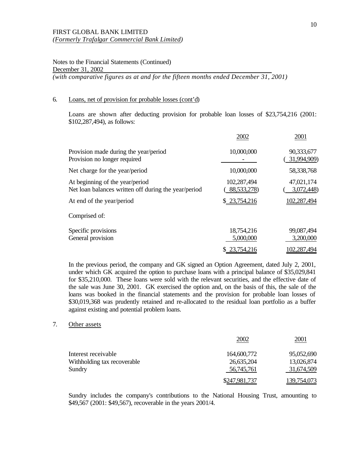#### 6. Loans, net of provision for probable losses (cont'd)

Loans are shown after deducting provision for probable loan losses of \$23,754,216 (2001: \$102,287,494), as follows:

|                                                                                         | 2002                       | 2001                      |
|-----------------------------------------------------------------------------------------|----------------------------|---------------------------|
| Provision made during the year/period<br>Provision no longer required                   | 10,000,000                 | 90,333,677<br>31,994,909) |
| Net charge for the year/period                                                          | 10,000,000                 | 58,338,768                |
| At beginning of the year/period<br>Net loan balances written off during the year/period | 102,287,494<br>88,533,278) | 47,021,174<br>3,072,448)  |
| At end of the year/period                                                               | \$ 23,754,216              | <u>102,287,494</u>        |
| Comprised of:                                                                           |                            |                           |
| Specific provisions<br>General provision                                                | 18,754,216<br>5,000,000    | 99,087,494<br>3,200,000   |
|                                                                                         | 23,754,216                 | 102,287,494               |

In the previous period, the company and GK signed an Option Agreement, dated July 2, 2001, under which GK acquired the option to purchase loans with a principal balance of \$35,029,841 for \$35,210,000. These loans were sold with the relevant securities, and the effective date of the sale was June 30, 2001. GK exercised the option and, on the basis of this, the sale of the loans was booked in the financial statements and the provision for probable loan losses of \$30,019,368 was prudently retained and re-allocated to the residual loan portfolio as a buffer against existing and potential problem loans.

### 7. Other assets

|                             | 2002          | 2001        |
|-----------------------------|---------------|-------------|
| Interest receivable         | 164,600,772   | 95,052,690  |
| Withholding tax recoverable | 26,635,204    | 13,026,874  |
| Sundry                      | 56,745,761    | 31,674,509  |
|                             | \$247,981,737 | 139,754,073 |

Sundry includes the company's contributions to the National Housing Trust, amounting to \$49,567 (2001: \$49,567), recoverable in the years 2001/4.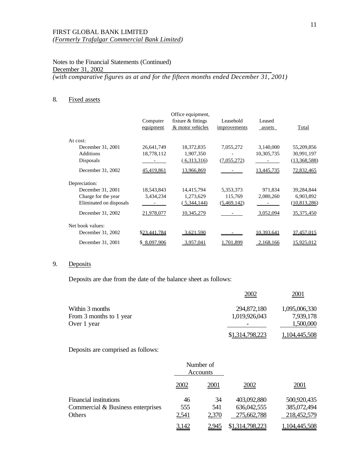Notes to the Financial Statements (Continued) December 31, 2002 *(with comparative figures as at and for the fifteen months ended December 31, 2001)*

## 8. Fixed assets

|                         | Computer<br>equipment | Office equipment,<br>fixture & fittings<br>& motor vehicles | Leasehold<br>improvements | Leased<br>assets | Total             |
|-------------------------|-----------------------|-------------------------------------------------------------|---------------------------|------------------|-------------------|
| At cost:                |                       |                                                             |                           |                  |                   |
| December 31, 2001       | 26,641,749            | 18,372,835                                                  | 7,055,272                 | 3,140,000        | 55,209,856        |
| <b>Additions</b>        | 18,778,112            | 1,907,350                                                   |                           | 10,305,735       | 30,991,197        |
| Disposals               |                       | (6,313,316)                                                 | (7,055,272)               |                  | (13,368,588)      |
| December 31, 2002       | 45,419,861            | 13,966,869                                                  |                           | 13,445,735       | 72,832,465        |
| Depreciation:           |                       |                                                             |                           |                  |                   |
| December 31, 2001       | 18,543,843            | 14,415,794                                                  | 5,353,373                 | 971,834          | 39,284,844        |
| Charge for the year     | 3,434,234             | 1,273,629                                                   | 115,769                   | 2,080,260        | 6,903,892         |
| Eliminated on disposals |                       | 5,344,144                                                   | (5,469,142)               |                  | (10, 813, 286)    |
| December 31, 2002       | 21,978,077            | 10,345,279                                                  |                           | 3,052,094        | 35,375,450        |
| Net book values:        |                       |                                                             |                           |                  |                   |
| December 31, 2002       | <u>\$23.441.784</u>   | 3.621.590                                                   |                           | 10.393.641       | <u>37.457.015</u> |
| December 31, 2001       | \$ 8.097.906          | 3.957.041                                                   | .701.899                  | 2.168.166        | 15.925.012        |

## 9. Deposits

Deposits are due from the date of the balance sheet as follows:

|                         | 2002            | 2001          |
|-------------------------|-----------------|---------------|
| Within 3 months         | 294,872,180     | 1,095,006,330 |
| From 3 months to 1 year | 1,019,926,043   | 7,939,178     |
| Over 1 year             |                 | 1,500,000     |
|                         | \$1,314,798,223 | 1,104,445,508 |

Deposits are comprised as follows:

|                                   | Number of<br>Accounts |       |                 |               |
|-----------------------------------|-----------------------|-------|-----------------|---------------|
|                                   | 2002                  | 2001  | 2002            | 2001          |
| <b>Financial institutions</b>     | 46                    | 34    | 403,092,880     | 500,920,435   |
| Commercial & Business enterprises | 555                   | 541   | 636,042,555     | 385,072,494   |
| Others                            | 2,541                 | 2,370 | 275,662,788     | 218,452,579   |
|                                   | 3,142                 | 2.945 | \$1,314,798,223 | 1,104,445,508 |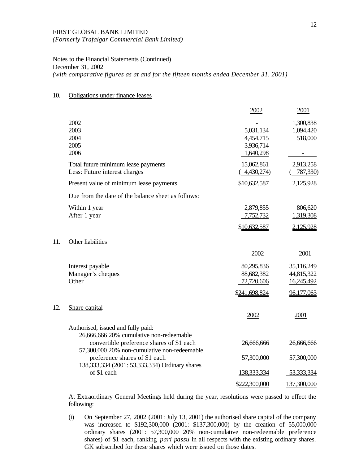Notes to the Financial Statements (Continued) December 31, 2002

*(with comparative figures as at and for the fifteen months ended December 31, 2001)*

## 10. Obligations under finance leases

11.

 $12.$ 

|                                                                                                                                     | 2002                                             | 2001                                   |
|-------------------------------------------------------------------------------------------------------------------------------------|--------------------------------------------------|----------------------------------------|
| 2002<br>2003<br>2004<br>2005<br>2006                                                                                                | 5,031,134<br>4,454,715<br>3,936,714<br>1,640,298 | 1,300,838<br>1,094,420<br>518,000      |
| Total future minimum lease payments<br>Less: Future interest charges                                                                | 15,062,861<br>4,430,274)                         | 2,913,258<br>787,330)                  |
| Present value of minimum lease payments                                                                                             | \$10,632,587                                     | 2,125,928                              |
| Due from the date of the balance sheet as follows:                                                                                  |                                                  |                                        |
| Within 1 year<br>After 1 year                                                                                                       | 2,879,855<br>7,752,732                           | 806,620<br>1,319,308                   |
|                                                                                                                                     | \$10,632,587                                     | 2,125,928                              |
| Other liabilities                                                                                                                   |                                                  |                                        |
|                                                                                                                                     | 2002                                             | 2001                                   |
| Interest payable<br>Manager's cheques<br>Other                                                                                      | 80,295,836<br>88,682,382<br>72,720,606           | 35,116,249<br>44,815,322<br>16,245,492 |
|                                                                                                                                     | \$241,698,824                                    | 96,177,063                             |
| Share capital                                                                                                                       | 2002                                             | 2001                                   |
| Authorised, issued and fully paid:<br>26,666,666 20% cumulative non-redeemable<br>convertible preference shares of \$1 each         | 26,666,666                                       | 26,666,666                             |
| 57,300,000 20% non-cumulative non-redeemable<br>preference shares of \$1 each<br>138, 333, 334 (2001: 53, 333, 334) Ordinary shares | 57,300,000                                       | 57,300,000                             |
| of \$1 each                                                                                                                         | 138, 333, 334                                    | 53, 333, 334                           |
|                                                                                                                                     | \$222,300,000                                    | 137,300,000                            |

At Extraordinary General Meetings held during the year, resolutions were passed to effect the following:

(i) On September 27, 2002 (2001: July 13, 2001) the authorised share capital of the company was increased to \$192,300,000 (2001: \$137,300,000) by the creation of 55,000,000 ordinary shares (2001: 57,300,000 20% non-cumulative non-redeemable preference shares) of \$1 each, ranking *pari passu* in all respects with the existing ordinary shares. GK subscribed for these shares which were issued on those dates.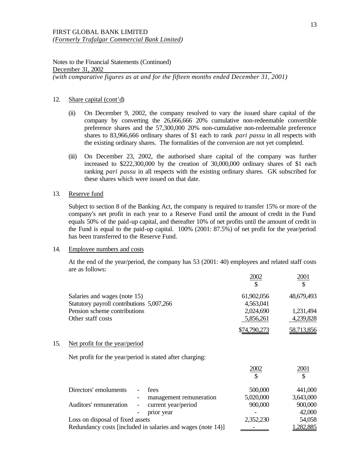Notes to the Financial Statements (Continued) December 31, 2002 *(with comparative figures as at and for the fifteen months ended December 31, 2001)*

#### 12. Share capital (cont'd)

- (ii) On December 9, 2002, the company resolved to vary the issued share capital of the company by converting the 26,666,666 20% cumulative non-redeemable convertible preference shares and the 57,300,000 20% non-cumulative non-redeemable preference shares to 83,966,666 ordinary shares of \$1 each to rank *pari passu* in all respects with the existing ordinary shares. The formalities of the conversion are not yet completed.
- (iii) On December 23, 2002, the authorised share capital of the company was further increased to \$222,300,000 by the creation of 30,000,000 ordinary shares of \$1 each ranking *pari passu* in all respects with the existing ordinary shares. GK subscribed for these shares which were issued on that date.

#### 13. Reserve fund

Subject to section 8 of the Banking Act, the company is required to transfer 15% or more of the company's net profit in each year to a Reserve Fund until the amount of credit in the Fund equals 50% of the paid-up capital, and thereafter 10% of net profits until the amount of credit in the Fund is equal to the paid-up capital. 100% (2001: 87.5%) of net profit for the year/period has been transferred to the Reserve Fund.

## 14. Employee numbers and costs

At the end of the year/period, the company has 53 (2001: 40) employees and related staff costs are as follows:

|     |                                                                           |                                                             | 2002                    | 2001             |
|-----|---------------------------------------------------------------------------|-------------------------------------------------------------|-------------------------|------------------|
|     | Salaries and wages (note 15)<br>Statutory payroll contributions 5,007,266 |                                                             | 61,902,056<br>4,563,041 | 48,679,493       |
|     | Pension scheme contributions                                              |                                                             | 2,024,690               | 1,231,494        |
|     | Other staff costs                                                         |                                                             | 5,856,261               | 4,239,828        |
|     |                                                                           |                                                             | \$74,790,273            | 58,713,856       |
| 15. | Net profit for the year/period                                            |                                                             |                         |                  |
|     |                                                                           | Net profit for the year/period is stated after charging:    |                         |                  |
|     |                                                                           |                                                             | 2002                    | 2001             |
|     | Directors' emoluments                                                     | fees                                                        | 500,000                 | 441,000          |
|     |                                                                           | management remuneration                                     | 5,020,000               | 3,643,000        |
|     | Auditors' remuneration                                                    | current year/period                                         | 900,000                 | 900,000          |
|     |                                                                           | prior year                                                  |                         | 42,000           |
|     | Loss on disposal of fixed assets                                          |                                                             | 2,352,230               | 54,058           |
|     |                                                                           | Redundancy costs [included in salaries and wages (note 14)] |                         | <u>1,282,885</u> |
|     |                                                                           |                                                             |                         |                  |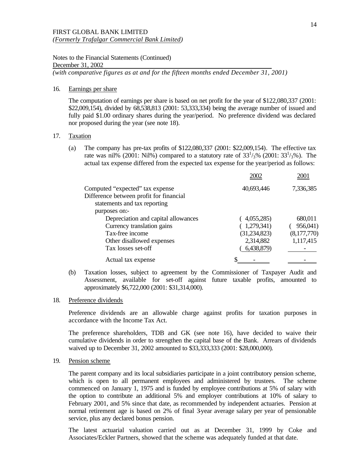Notes to the Financial Statements (Continued) December 31, 2002

*(with comparative figures as at and for the fifteen months ended December 31, 2001)*

## 16. Earnings per share

The computation of earnings per share is based on net profit for the year of \$122,080,337 (2001: \$22,009,154), divided by 68,538,813 (2001: 53,333,334) being the average number of issued and fully paid \$1.00 ordinary shares during the year/period. No preference dividend was declared nor proposed during the year (see note 18).

## 17. Taxation

(a) The company has pre-tax profits of \$122,080,337 (2001: \$22,009,154). The effective tax rate was nil% (2001: Nil%) compared to a statutory rate of  $33^{1/3}$ % (2001:  $33^{1/3}$ %). The actual tax expense differed from the expected tax expense for the year/period as follows:

|                                         | 2002           | 2001        |
|-----------------------------------------|----------------|-------------|
| Computed "expected" tax expense         | 40,693,446     | 7,336,385   |
| Difference between profit for financial |                |             |
| statements and tax reporting            |                |             |
| purposes on:-                           |                |             |
| Depreciation and capital allowances     | (4,055,285)    | 680,011     |
| Currency translation gains              | (1,279,341)    | 956,041)    |
| Tax-free income                         | (31, 234, 823) | (8,177,770) |
| Other disallowed expenses               | 2,314,882      | 1,117,415   |
| Tax losses set-off                      | 6,438,879)     |             |
| Actual tax expense                      |                |             |

(b) Taxation losses, subject to agreement by the Commissioner of Taxpayer Audit and Assessment, available for set-off against future taxable profits, amounted to approximately \$6,722,000 (2001: \$31,314,000).

### 18. Preference dividends

Preference dividends are an allowable charge against profits for taxation purposes in accordance with the Income Tax Act.

The preference shareholders, TDB and GK (see note 16), have decided to waive their cumulative dividends in order to strengthen the capital base of the Bank. Arrears of dividends waived up to December 31, 2002 amounted to \$33,333,333 (2001: \$28,000,000).

## 19. Pension scheme

The parent company and its local subsidiaries participate in a joint contributory pension scheme, which is open to all permanent employees and administered by trustees. The scheme commenced on January 1, 1975 and is funded by employee contributions at 5% of salary with the option to contribute an additional 5% and employer contributions at 10% of salary to February 2001, and 5% since that date, as recommended by independent actuaries. Pension at normal retirement age is based on 2% of final 3-year average salary per year of pensionable service, plus any declared bonus pension.

The latest actuarial valuation carried out as at December 31, 1999 by Coke and Associates/Eckler Partners, showed that the scheme was adequately funded at that date.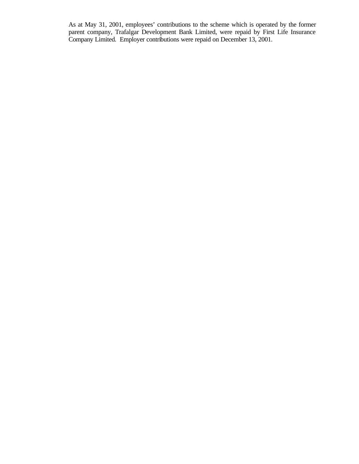As at May 31, 2001, employees' contributions to the scheme which is operated by the former parent company, Trafalgar Development Bank Limited, were repaid by First Life Insurance Company Limited. Employer contributions were repaid on December 13, 2001.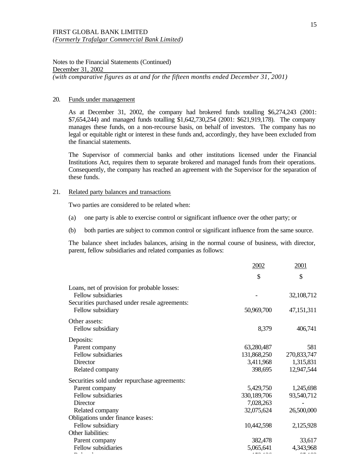#### 20. Funds under management

As at December 31, 2002, the company had brokered funds totalling \$6,274,243 (2001: \$7,654,244) and managed funds totalling \$1,642,730,254 (2001: \$621,919,178). The company manages these funds, on a non-recourse basis, on behalf of investors. The company has no legal or equitable right or interest in these funds and, accordingly, they have been excluded from the financial statements.

The Supervisor of commercial banks and other institutions licensed under the Financial Institutions Act, requires them to separate brokered and managed funds from their operations. Consequently, the company has reached an agreement with the Supervisor for the separation of these funds.

#### 21. Related party balances and transactions

Two parties are considered to be related when:

- (a) one party is able to exercise control or significant influence over the other party; or
- (b) both parties are subject to common control or significant influence from the same source.

The balance sheet includes balances, arising in the normal course of business, with director, parent, fellow subsidiaries and related companies as follows:

|                                                                                                                      | <u>2002</u> | 2001        |
|----------------------------------------------------------------------------------------------------------------------|-------------|-------------|
|                                                                                                                      | \$          | \$          |
| Loans, net of provision for probable losses:<br>Fellow subsidiaries<br>Securities purchased under resale agreements: |             | 32,108,712  |
| Fellow subsidiary                                                                                                    | 50,969,700  | 47,151,311  |
| Other assets:<br>Fellow subsidiary                                                                                   | 8,379       | 406,741     |
| Deposits:                                                                                                            |             |             |
| Parent company                                                                                                       | 63,280,487  | 581         |
| Fellow subsidiaries                                                                                                  | 131,868,250 | 270,833,747 |
| Director                                                                                                             | 3,411,968   | 1,315,831   |
| Related company                                                                                                      | 398,695     | 12,947,544  |
| Securities sold under repurchase agreements:                                                                         |             |             |
| Parent company                                                                                                       | 5,429,750   | 1,245,698   |
| Fellow subsidiaries                                                                                                  | 330,189,706 | 93,540,712  |
| Director                                                                                                             | 7,028,263   |             |
| Related company                                                                                                      | 32,075,624  | 26,500,000  |
| Obligations under finance leases:                                                                                    |             |             |
| Fellow subsidiary                                                                                                    | 10,442,598  | 2,125,928   |
| Other liabilities:                                                                                                   |             |             |
| Parent company                                                                                                       | 382,478     | 33,617      |
| Fellow subsidiaries                                                                                                  | 5,065,641   | 4,343,968   |
|                                                                                                                      |             |             |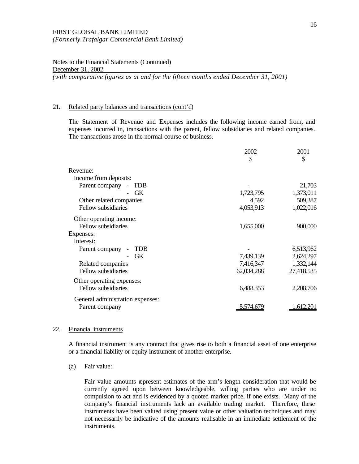## 21. Related party balances and transactions (cont'd)

The Statement of Revenue and Expenses includes the following income earned from, and expenses incurred in, transactions with the parent, fellow subsidiaries and related companies. The transactions arose in the normal course of business.

|                                  | 2002       | 2001<br>\$ |
|----------------------------------|------------|------------|
| Revenue:                         |            |            |
| Income from deposits:            |            |            |
| Parent company<br>TDB<br>$\sim$  |            | 21,703     |
| <b>GK</b>                        | 1,723,795  | 1,373,011  |
| Other related companies          | 4,592      | 509,387    |
| Fellow subsidiaries              | 4,053,913  | 1,022,016  |
| Other operating income:          |            |            |
| Fellow subsidiaries              | 1,655,000  | 900,000    |
| Expenses:                        |            |            |
| Interest:                        |            |            |
| Parent company<br>TDB            |            | 6,513,962  |
| <b>GK</b>                        | 7,439,139  | 2,624,297  |
| Related companies                | 7,416,347  | 1,332,144  |
| Fellow subsidiaries              | 62,034,288 | 27,418,535 |
| Other operating expenses:        |            |            |
| Fellow subsidiaries              | 6,488,353  | 2,208,706  |
| General administration expenses: |            |            |
| Parent company                   | 5.574.679  | .612.201   |

#### 22. Financial instruments

A financial instrument is any contract that gives rise to both a financial asset of one enterprise or a financial liability or equity instrument of another enterprise.

(a) Fair value:

Fair value amounts represent estimates of the arm's length consideration that would be currently agreed upon between knowledgeable, willing parties who are under no compulsion to act and is evidenced by a quoted market price, if one exists. Many of the company's financial instruments lack an available trading market. Therefore, these instruments have been valued using present value or other valuation techniques and may not necessarily be indicative of the amounts realisable in an immediate settlement of the instruments.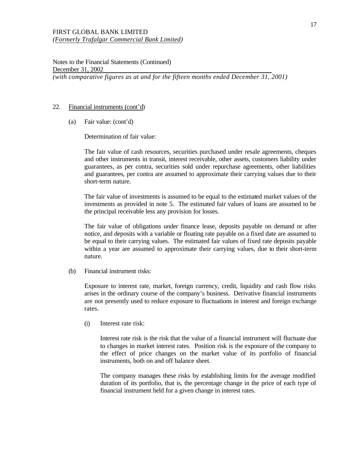### 22. Financial instruments (cont'd)

(a) Fair value: (cont'd)

Determination of fair value:

The fair value of cash resources, securities purchased under resale agreements, cheques and other instruments in transit, interest receivable, other assets, customers liability under guarantees, as per contra, securities sold under repurchase agreements, other liabilities and guarantees, per contra are assumed to approximate their carrying values due to their short-term nature.

The fair value of investments is assumed to be equal to the estimated market values of the investments as provided in note 5. The estimated fair values of loans are assumed to be the principal receivable less any provision for losses.

The fair value of obligations under finance lease, deposits payable on demand or after notice, and deposits with a variable or floating rate payable on a fixed date are assumed to be equal to their carrying values. The estimated fair values of fixed rate deposits payable within a year are assumed to approximate their carrying values, due to their short-term nature.

(b) Financial instrument risks:

Exposure to interest rate, market, foreign currency, credit, liquidity and cash flow risks arises in the ordinary course of the company's business. Derivative financial instruments are not presently used to reduce exposure to fluctuations in interest and foreign exchange rates.

(i) Interest rate risk:

Interest rate risk is the risk that the value of a financial instrument will fluctuate due to changes in market interest rates. Position risk is the exposure of the company to the effect of price changes on the market value of its portfolio of financial instruments, both on and off balance sheet.

The company manages these risks by establishing limits for the average modified duration of its portfolio, that is, the percentage change in the price of each type of financial instrument held for a given change in interest rates.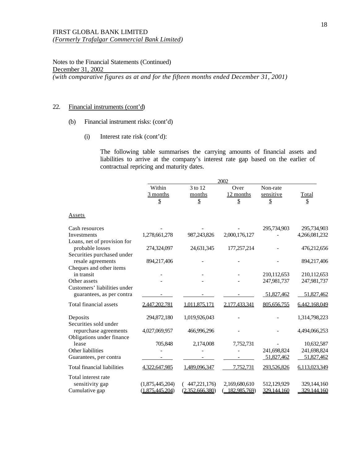## 22. Financial instruments (cont'd)

- (b) Financial instrument risks: (cont'd)
	- (i) Interest rate risk (cont'd):

The following table summarises the carrying amounts of financial assets and liabilities to arrive at the company's interest rate gap based on the earlier of contractual repricing and maturity dates.

|                                       |                                        |                   | 2002                |                       |               |
|---------------------------------------|----------------------------------------|-------------------|---------------------|-----------------------|---------------|
|                                       | Within<br>$\frac{3 \text{ months}}{2}$ | 3 to 12<br>months | Over<br>$12$ months | Non-rate<br>sensitive | Total         |
|                                       | \$                                     | ${\mathbb S}$     | \$                  | $\mathbb{S}$          | $\mathbb S$   |
| Assets                                |                                        |                   |                     |                       |               |
| Cash resources                        |                                        |                   |                     | 295,734,903           | 295,734,903   |
| Investments                           | 1,278,661,278                          | 987,243,826       | 2,000,176,127       |                       | 4,266,081,232 |
| Loans, net of provision for           |                                        |                   |                     |                       |               |
| probable losses                       | 274,324,097                            | 24,631,345        | 177,257,214         |                       | 476,212,656   |
| Securities purchased under            |                                        |                   |                     |                       |               |
| resale agreements                     | 894,217,406                            |                   |                     |                       | 894,217,406   |
| Cheques and other items<br>in transit |                                        |                   |                     | 210,112,653           | 210,112,653   |
| Other assets                          |                                        |                   |                     | 247,981,737           | 247,981,737   |
| Customers' liabilities under          |                                        |                   |                     |                       |               |
| guarantees, as per contra             |                                        |                   |                     | 51,827,462            | 51,827,462    |
| Total financial assets                | 2,447,202,781                          | 1,011,875,171     | 2,177,433,341       | 805,656,755           | 6,442,168,049 |
| Deposits                              | 294,872,180                            | 1,019,926,043     |                     |                       | 1,314,798,223 |
| Securities sold under                 |                                        |                   |                     |                       |               |
| repurchase agreements                 | 4,027,069,957                          | 466,996,296       |                     |                       | 4,494,066,253 |
| Obligations under finance             |                                        |                   |                     |                       |               |
| lease                                 | 705,848                                | 2,174,008         | 7,752,731           |                       | 10,632,587    |
| Other liabilities                     |                                        |                   |                     | 241,698,824           | 241,698,824   |
| Guarantees, per contra                |                                        |                   |                     | 51,827,462            | 51,827,462    |
| <b>Total financial liabilities</b>    | 4,322,647,985                          | 1,489,096,347     | 7,752,731           | 293,526,826           | 6,113,023,349 |
| Total interest rate                   |                                        |                   |                     |                       |               |
| sensitivity gap                       | (1,875,445,204)                        | 447,221,176)      | 2,169,680,610       | 512,129,929           | 329,144,160   |
| Cumulative gap                        | (1.875.445.204)                        | (2.352, 666, 380) | 182,985,769)        | 329,144,160           | 329,144,160   |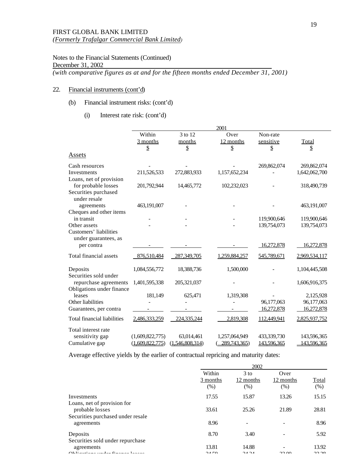Notes to the Financial Statements (Continued) December 31, 2002

*(with comparative figures as at and for the fifteen months ended December 31, 2001)*

## 22. Financial instruments (cont'd)

## (b) Financial instrument risks: (cont'd)

(i) Interest rate risk: (cont'd)

|                                                | 2001                         |                 |               |             |               |
|------------------------------------------------|------------------------------|-----------------|---------------|-------------|---------------|
|                                                | Within                       | 3 to 12         | Over          | Non-rate    |               |
|                                                | $\frac{3 \text{ months}}{2}$ | months          | 12 months     | sensitive   | Total         |
|                                                | \$                           | \$              | \$            | \$          | \$            |
| Assets                                         |                              |                 |               |             |               |
| Cash resources                                 |                              |                 |               | 269,862,074 | 269,862,074   |
| Investments                                    | 211,526,533                  | 272,883,933     | 1,157,652,234 |             | 1,642,062,700 |
| Loans, net of provision                        |                              |                 |               |             |               |
| for probable losses                            | 201,792,944                  | 14,465,772      | 102,232,023   |             | 318,490,739   |
| Securities purchased                           |                              |                 |               |             |               |
| under resale                                   |                              |                 |               |             |               |
| agreements                                     | 463,191,007                  |                 |               |             | 463,191,007   |
| Cheques and other items                        |                              |                 |               |             |               |
| in transit                                     |                              |                 |               | 119,900,646 | 119,900,646   |
| Other assets                                   |                              |                 |               | 139,754,073 | 139,754,073   |
| Customers' liabilities<br>under guarantees, as |                              |                 |               |             |               |
| per contra                                     |                              |                 |               | 16,272,878  | 16,272,878    |
| Total financial assets                         | 876,510,484                  | 287,349,705     | 1,259,884,257 | 545,789,671 | 2,969,534,117 |
| Deposits                                       | 1,084,556,772                | 18,388,736      | 1,500,000     |             | 1,104,445,508 |
| Securities sold under                          |                              |                 |               |             |               |
| repurchase agreements                          | 1,401,595,338                | 205,321,037     |               |             | 1,606,916,375 |
| Obligations under finance                      |                              |                 |               |             |               |
| leases                                         | 181,149                      | 625,471         | 1,319,308     |             | 2,125,928     |
| Other liabilities                              |                              |                 |               | 96,177,063  | 96,177,063    |
| Guarantees, per contra                         |                              |                 |               | 16,272,878  | 16,272,878    |
| <b>Total financial liabilities</b>             | 2,486,333,259                | 224,335,244     | 2,819,308     | 112,449,941 | 2,825,937,752 |
| Total interest rate                            |                              |                 |               |             |               |
| sensitivity gap                                | (1,609,822,775)              | 63,014,461      | 1,257,064,949 | 433,339,730 | 143,596,365   |
| Cumulative gap                                 | (1,609,822,775)              | (1.546.808.314) | 289.743.365)  | 143.596.365 | 143.596.365   |

Average effective yields by the earlier of contractual repricing and maturity dates:

|                              | 2002                        |                             |               |
|------------------------------|-----------------------------|-----------------------------|---------------|
| Within<br>3 months<br>$(\%)$ | $3$ to<br>12 months<br>(% ) | Over<br>12 months<br>$(\%)$ | Total<br>(% ) |
| 17.55                        | 15.87                       | 13.26                       | 15.15         |
| 33.61                        | 25.26                       | 21.89                       | 28.81         |
| 8.96                         | ٠                           |                             | 8.96          |
| 8.70                         | 3.40                        |                             | 5.92          |
| 13.81<br>24E                 | 14.88<br>24.24              | 2200                        | 13.92<br>2220 |
|                              |                             |                             |               |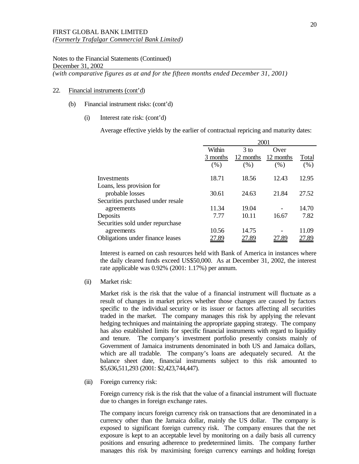Notes to the Financial Statements (Continued) December 31, 2002

*(with comparative figures as at and for the fifteen months ended December 31, 2001)*

## 22. Financial instruments (cont'd)

- (b) Financial instrument risks: (cont'd)
	- (i) Interest rate risk: (cont'd)

Average effective yields by the earlier of contractual repricing and maturity dates:

|                                   | 2001     |           |           |         |
|-----------------------------------|----------|-----------|-----------|---------|
|                                   | Within   | $3$ to    | Over      |         |
|                                   | 3 months | 12 months | 12 months | Total   |
|                                   | (% )     | (% )      | (% )      | $(\% )$ |
| Investments                       | 18.71    | 18.56     | 12.43     | 12.95   |
| Loans, less provision for         |          |           |           |         |
| probable losses                   | 30.61    | 24.63     | 21.84     | 27.52   |
| Securities purchased under resale |          |           |           |         |
| agreements                        | 11.34    | 19.04     |           | 14.70   |
| Deposits                          | 7.77     | 10.11     | 16.67     | 7.82    |
| Securities sold under repurchase  |          |           |           |         |
| agreements                        | 10.56    | 14.75     |           | 11.09   |
| Obligations under finance leases  |          | 27.89     |           |         |

Interest is earned on cash resources held with Bank of America in instances where the daily cleared funds exceed US\$50,000. As at December 31, 2002, the interest rate applicable was 0.92% (2001: 1.17%) per annum.

(ii) Market risk:

Market risk is the risk that the value of a financial instrument will fluctuate as a result of changes in market prices whether those changes are caused by factors specific to the individual security or its issuer or factors affecting all securities traded in the market. The company manages this risk by applying the relevant hedging techniques and maintaining the appropriate gapping strategy. The company has also established limits for specific financial instruments with regard to liquidity and tenure. The company's investment portfolio presently consists mainly of Government of Jamaica instruments denominated in both US and Jamaica dollars, which are all tradable. The company's loans are adequately secured. At the balance sheet date, financial instruments subject to this risk amounted to \$5,636,511,293 (2001: \$2,423,744,447).

(iii) Foreign currency risk:

Foreign currency risk is the risk that the value of a financial instrument will fluctuate due to changes in foreign exchange rates.

The company incurs foreign currency risk on transactions that are denominated in a currency other than the Jamaica dollar, mainly the US dollar. The company is exposed to significant foreign currency risk. The company ensures that the net exposure is kept to an acceptable level by monitoring on a daily basis all currency positions and ensuring adherence to predetermined limits. The company further manages this risk by maximising foreign currency earnings and holding foreign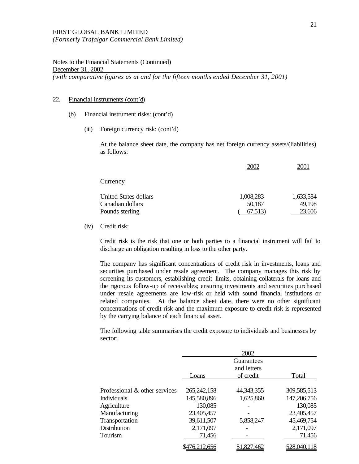Notes to the Financial Statements (Continued) December 31, 2002 *(with comparative figures as at and for the fifteen months ended December 31, 2001)*

#### 22. Financial instruments (cont'd)

- (b) Financial instrument risks: (cont'd)
	- (iii) Foreign currency risk: (cont'd)

At the balance sheet date, the company has net foreign currency assets/(liabilities) as follows:

|                       | 2002      | 2001      |
|-----------------------|-----------|-----------|
| Currency              |           |           |
| United States dollars | 1,008,283 | 1,633,584 |
| Canadian dollars      | 50,187    | 49,198    |
| Pounds sterling       | 67,513)   | 23,606    |

(iv) Credit risk:

Credit risk is the risk that one or both parties to a financial instrument will fail to discharge an obligation resulting in loss to the other party.

The company has significant concentrations of credit risk in investments, loans and securities purchased under resale agreement. The company manages this risk by screening its customers, establishing credit limits, obtaining collaterals for loans and the rigorous follow-up of receivables; ensuring investments and securities purchased under resale agreements are low-risk or held with sound financial institutions or related companies. At the balance sheet date, there were no other significant concentrations of credit risk and the maximum exposure to credit risk is represented by the carrying balance of each financial asset.

The following table summarises the credit exposure to individuals and businesses by sector:

|                               |               | 2002         |             |
|-------------------------------|---------------|--------------|-------------|
|                               |               | Guarantees   |             |
|                               |               | and letters  |             |
|                               | Loans         | of credit    | Total       |
|                               |               |              |             |
| Professional & other services | 265, 242, 158 | 44, 343, 355 | 309,585,513 |
| <b>Individuals</b>            | 145,580,896   | 1,625,860    | 147,206,756 |
| Agriculture                   | 130,085       |              | 130,085     |
| Manufacturing                 | 23,405,457    |              | 23,405,457  |
| Transportation                | 39,611,507    | 5,858,247    | 45,469,754  |
| Distribution                  | 2,171,097     |              | 2,171,097   |
| Tourism                       | 71,456        |              | 71,456      |
|                               | 16.212,656    | 51.827.4     |             |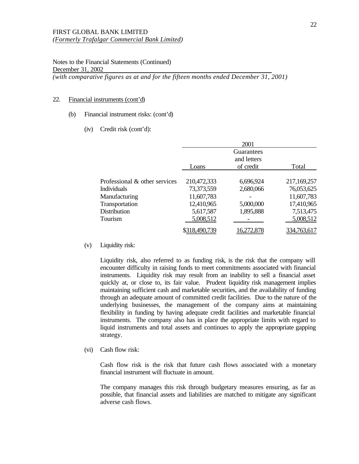Notes to the Financial Statements (Continued) December 31, 2002 *(with comparative figures as at and for the fifteen months ended December 31, 2001)*

#### 22. Financial instruments (cont'd)

#### (b) Financial instrument risks: (cont'd)

(iv) Credit risk (cont'd):

|                               |               | 2001        |             |
|-------------------------------|---------------|-------------|-------------|
|                               |               | Guarantees  |             |
|                               |               | and letters |             |
|                               | Loans         | of credit   | Total       |
|                               |               |             |             |
| Professional & other services | 210,472,333   | 6,696,924   | 217,169,257 |
| <b>Individuals</b>            | 73,373,559    | 2,680,066   | 76,053,625  |
| Manufacturing                 | 11,607,783    |             | 11,607,783  |
| Transportation                | 12,410,965    | 5,000,000   | 17,410,965  |
| Distribution                  | 5,617,587     | 1,895,888   | 7,513,475   |
| Tourism                       | 5,008,512     |             | 5,008,512   |
|                               | \$318,490,739 |             | 334.763.617 |

(v) Liquidity risk:

Liquidity risk, also referred to as funding risk, is the risk that the company will encounter difficulty in raising funds to meet commitments associated with financial instruments. Liquidity risk may result from an inability to sell a financial asset quickly at, or close to, its fair value. Prudent liquidity risk management implies maintaining sufficient cash and marketable securities, and the availability of funding through an adequate amount of committed credit facilities. Due to the nature of the underlying businesses, the management of the company aims at maintaining flexibility in funding by having adequate credit facilities and marketable financial instruments. The company also has in place the appropriate limits with regard to liquid instruments and total assets and continues to apply the appropriate gapping strategy.

(vi) Cash flow risk:

Cash flow risk is the risk that future cash flows associated with a monetary financial instrument will fluctuate in amount.

The company manages this risk through budgetary measures ensuring, as far as possible, that financial assets and liabilities are matched to mitigate any significant adverse cash flows.